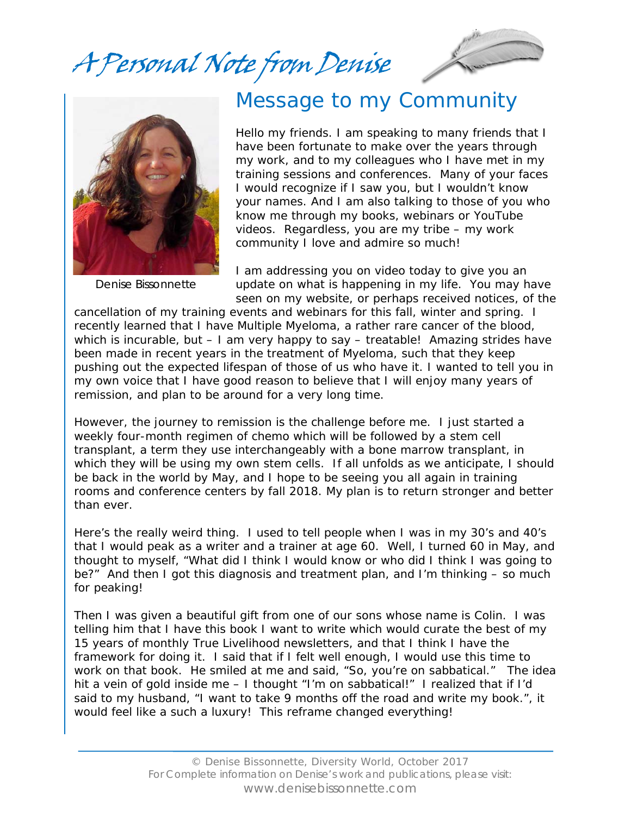A Personal Note from Denise





Denise Bissonnette

## Message to my Community

Hello my friends. I am speaking to many friends that I have been fortunate to make over the years through my work, and to my colleagues who I have met in my training sessions and conferences. Many of your faces I would recognize if I saw you, but I wouldn't know your names. And I am also talking to those of you who know me through my books, webinars or YouTube videos. Regardless, you are my tribe – my work community I love and admire so much!

I am addressing you on video today to give you an update on what is happening in my life. You may have seen on my website, or perhaps received notices, of the

cancellation of my training events and webinars for this fall, winter and spring. I recently learned that I have Multiple Myeloma, a rather rare cancer of the blood, which is incurable, but – I am very happy to say – treatable! Amazing strides have been made in recent years in the treatment of Myeloma, such that they keep pushing out the expected lifespan of those of us who have it. I wanted to tell you in my own voice that I have good reason to believe that I will enjoy many years of remission, and plan to be around for a very long time.

However, the journey to remission is the challenge before me. I just started a weekly four-month regimen of chemo which will be followed by a stem cell transplant, a term they use interchangeably with a bone marrow transplant, in which they will be using my own stem cells. If all unfolds as we anticipate, I should be back in the world by May, and I hope to be seeing you all again in training rooms and conference centers by fall 2018. My plan is to return stronger and better than ever.

Here's the really weird thing. I used to tell people when I was in my 30's and 40's that I would peak as a writer and a trainer at age 60. Well, I turned 60 in May, and thought to myself, "What did I think I would know or who did I think I was going to be?" And then I got this diagnosis and treatment plan, and I'm thinking – so much for peaking!

Then I was given a beautiful gift from one of our sons whose name is Colin. I was telling him that I have this book I want to write which would curate the best of my 15 years of monthly True Livelihood newsletters, and that I think I have the framework for doing it. I said that if I felt well enough, I would use this time to work on that book. He smiled at me and said, "So, you're on sabbatical." The idea hit a vein of gold inside me – I thought "I'm on sabbatical!" I realized that if I'd said to my husband, "I want to take 9 months off the road and write my book.", it would feel like a such a luxury! This reframe changed everything!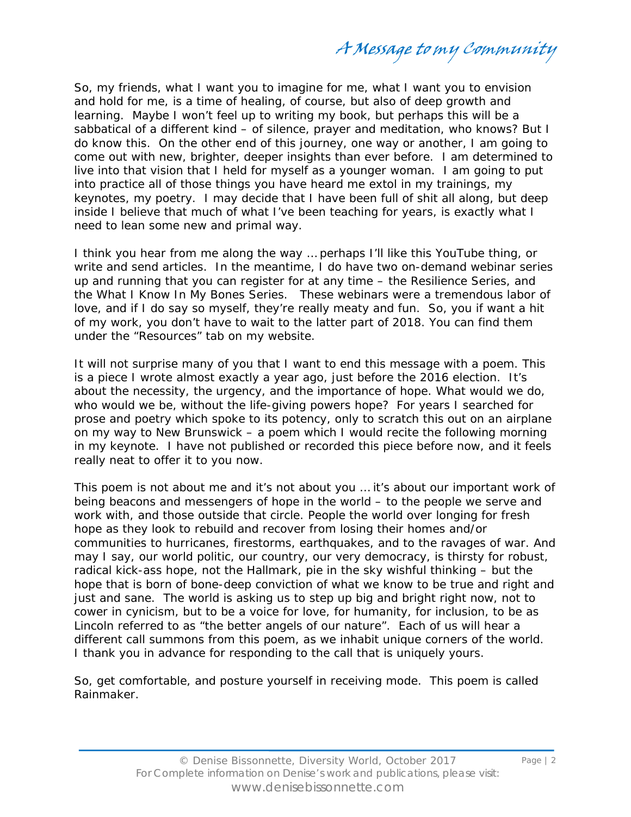A Message to my Community

So, my friends, what I want you to imagine for me, what I want you to envision and hold for me, is a time of healing, of course, but also of deep growth and learning. Maybe I won't feel up to writing my book, but perhaps this will be a sabbatical of a different kind – of silence, prayer and meditation, who knows? But I do know this. On the other end of this journey, one way or another, I am going to come out with new, brighter, deeper insights than ever before. I am determined to live into that vision that I held for myself as a younger woman. I am going to put into practice all of those things you have heard me extol in my trainings, my keynotes, my poetry. I may decide that I have been full of shit all along, but deep inside I believe that much of what I've been teaching for years, is exactly what I need to lean some new and primal way.

I think you hear from me along the way … perhaps I'll like this YouTube thing, or write and send articles. In the meantime, I do have two on-demand webinar series up and running that you can register for at any time – the Resilience Series, and the What I Know In My Bones Series. These webinars were a tremendous labor of love, and if I do say so myself, they're really meaty and fun. So, you if want a hit of my work, you don't have to wait to the latter part of 2018. You can find them under the "Resources" tab on my website.

It will not surprise many of you that I want to end this message with a poem. This is a piece I wrote almost exactly a year ago, just before the 2016 election. It's about the necessity, the urgency, and the importance of hope. What would we do, who would we be, without the life-giving powers hope? For years I searched for prose and poetry which spoke to its potency, only to scratch this out on an airplane on my way to New Brunswick – a poem which I would recite the following morning in my keynote. I have not published or recorded this piece before now, and it feels really neat to offer it to you now.

This poem is not about me and it's not about you … it's about our important work of being beacons and messengers of hope in the world – to the people we serve and work with, and those outside that circle. People the world over longing for fresh hope as they look to rebuild and recover from losing their homes and/or communities to hurricanes, firestorms, earthquakes, and to the ravages of war. And may I say, our world politic, our country, our very democracy, is thirsty for robust, radical kick-ass hope, not the Hallmark, pie in the sky wishful thinking – but the hope that is born of bone-deep conviction of what we know to be true and right and just and sane. The world is asking us to step up big and bright right now, not to cower in cynicism, but to be a voice for love, for humanity, for inclusion, to be as Lincoln referred to as "the better angels of our nature". Each of us will hear a different call summons from this poem, as we inhabit unique corners of the world. I thank you in advance for responding to the call that is uniquely yours.

So, get comfortable, and posture yourself in receiving mode. This poem is called Rainmaker.